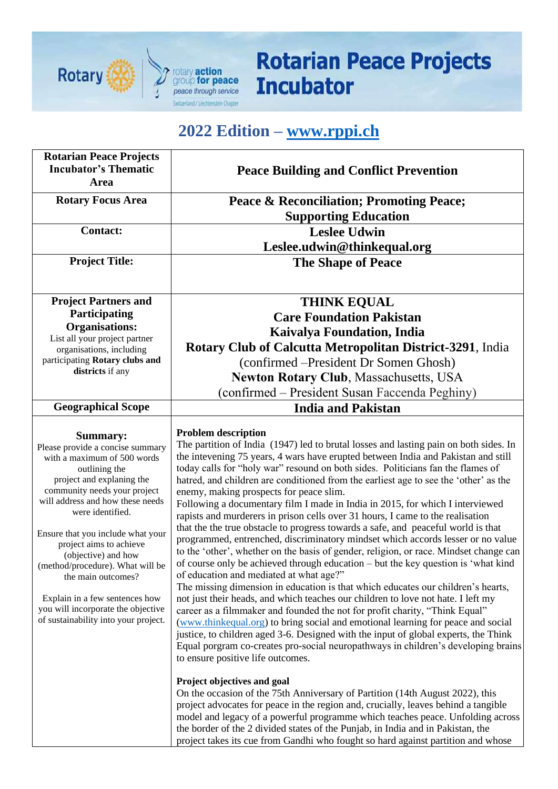

## **Rotarian Peace Projects Incubator**

## **2022 Edition – [www.rppi.ch](http://www.rppi.ch/)**

| <b>Rotarian Peace Projects</b><br><b>Incubator's Thematic</b><br>Area                                                                                                                                                                                                                                                                                                                                                                                                                     | <b>Peace Building and Conflict Prevention</b>                                                                                                                                                                                                                                                                                                                                                                                                                                                                                                                                                                                                                                                                                                                                                                                                                                                                                                                                                                                                                                                                                                                                                                                                                                                                                                                                                                                                                                                                                                                                                                                                                                                                                                                                                                                                                                                                                                                                                                                 |
|-------------------------------------------------------------------------------------------------------------------------------------------------------------------------------------------------------------------------------------------------------------------------------------------------------------------------------------------------------------------------------------------------------------------------------------------------------------------------------------------|-------------------------------------------------------------------------------------------------------------------------------------------------------------------------------------------------------------------------------------------------------------------------------------------------------------------------------------------------------------------------------------------------------------------------------------------------------------------------------------------------------------------------------------------------------------------------------------------------------------------------------------------------------------------------------------------------------------------------------------------------------------------------------------------------------------------------------------------------------------------------------------------------------------------------------------------------------------------------------------------------------------------------------------------------------------------------------------------------------------------------------------------------------------------------------------------------------------------------------------------------------------------------------------------------------------------------------------------------------------------------------------------------------------------------------------------------------------------------------------------------------------------------------------------------------------------------------------------------------------------------------------------------------------------------------------------------------------------------------------------------------------------------------------------------------------------------------------------------------------------------------------------------------------------------------------------------------------------------------------------------------------------------------|
| <b>Rotary Focus Area</b>                                                                                                                                                                                                                                                                                                                                                                                                                                                                  | <b>Peace &amp; Reconciliation; Promoting Peace;</b>                                                                                                                                                                                                                                                                                                                                                                                                                                                                                                                                                                                                                                                                                                                                                                                                                                                                                                                                                                                                                                                                                                                                                                                                                                                                                                                                                                                                                                                                                                                                                                                                                                                                                                                                                                                                                                                                                                                                                                           |
| <b>Contact:</b>                                                                                                                                                                                                                                                                                                                                                                                                                                                                           | <b>Supporting Education</b>                                                                                                                                                                                                                                                                                                                                                                                                                                                                                                                                                                                                                                                                                                                                                                                                                                                                                                                                                                                                                                                                                                                                                                                                                                                                                                                                                                                                                                                                                                                                                                                                                                                                                                                                                                                                                                                                                                                                                                                                   |
|                                                                                                                                                                                                                                                                                                                                                                                                                                                                                           | <b>Leslee Udwin</b>                                                                                                                                                                                                                                                                                                                                                                                                                                                                                                                                                                                                                                                                                                                                                                                                                                                                                                                                                                                                                                                                                                                                                                                                                                                                                                                                                                                                                                                                                                                                                                                                                                                                                                                                                                                                                                                                                                                                                                                                           |
| <b>Project Title:</b>                                                                                                                                                                                                                                                                                                                                                                                                                                                                     | Leslee.udwin@thinkequal.org<br><b>The Shape of Peace</b>                                                                                                                                                                                                                                                                                                                                                                                                                                                                                                                                                                                                                                                                                                                                                                                                                                                                                                                                                                                                                                                                                                                                                                                                                                                                                                                                                                                                                                                                                                                                                                                                                                                                                                                                                                                                                                                                                                                                                                      |
|                                                                                                                                                                                                                                                                                                                                                                                                                                                                                           |                                                                                                                                                                                                                                                                                                                                                                                                                                                                                                                                                                                                                                                                                                                                                                                                                                                                                                                                                                                                                                                                                                                                                                                                                                                                                                                                                                                                                                                                                                                                                                                                                                                                                                                                                                                                                                                                                                                                                                                                                               |
| <b>Project Partners and</b>                                                                                                                                                                                                                                                                                                                                                                                                                                                               | <b>THINK EQUAL</b>                                                                                                                                                                                                                                                                                                                                                                                                                                                                                                                                                                                                                                                                                                                                                                                                                                                                                                                                                                                                                                                                                                                                                                                                                                                                                                                                                                                                                                                                                                                                                                                                                                                                                                                                                                                                                                                                                                                                                                                                            |
| Participating                                                                                                                                                                                                                                                                                                                                                                                                                                                                             | <b>Care Foundation Pakistan</b>                                                                                                                                                                                                                                                                                                                                                                                                                                                                                                                                                                                                                                                                                                                                                                                                                                                                                                                                                                                                                                                                                                                                                                                                                                                                                                                                                                                                                                                                                                                                                                                                                                                                                                                                                                                                                                                                                                                                                                                               |
| <b>Organisations:</b><br>List all your project partner                                                                                                                                                                                                                                                                                                                                                                                                                                    | <b>Kaivalya Foundation, India</b>                                                                                                                                                                                                                                                                                                                                                                                                                                                                                                                                                                                                                                                                                                                                                                                                                                                                                                                                                                                                                                                                                                                                                                                                                                                                                                                                                                                                                                                                                                                                                                                                                                                                                                                                                                                                                                                                                                                                                                                             |
| organisations, including                                                                                                                                                                                                                                                                                                                                                                                                                                                                  | <b>Rotary Club of Calcutta Metropolitan District-3291, India</b>                                                                                                                                                                                                                                                                                                                                                                                                                                                                                                                                                                                                                                                                                                                                                                                                                                                                                                                                                                                                                                                                                                                                                                                                                                                                                                                                                                                                                                                                                                                                                                                                                                                                                                                                                                                                                                                                                                                                                              |
| participating Rotary clubs and                                                                                                                                                                                                                                                                                                                                                                                                                                                            | (confirmed – President Dr Somen Ghosh)                                                                                                                                                                                                                                                                                                                                                                                                                                                                                                                                                                                                                                                                                                                                                                                                                                                                                                                                                                                                                                                                                                                                                                                                                                                                                                                                                                                                                                                                                                                                                                                                                                                                                                                                                                                                                                                                                                                                                                                        |
| districts if any                                                                                                                                                                                                                                                                                                                                                                                                                                                                          | <b>Newton Rotary Club, Massachusetts, USA</b>                                                                                                                                                                                                                                                                                                                                                                                                                                                                                                                                                                                                                                                                                                                                                                                                                                                                                                                                                                                                                                                                                                                                                                                                                                                                                                                                                                                                                                                                                                                                                                                                                                                                                                                                                                                                                                                                                                                                                                                 |
|                                                                                                                                                                                                                                                                                                                                                                                                                                                                                           | (confirmed – President Susan Faccenda Peghiny)                                                                                                                                                                                                                                                                                                                                                                                                                                                                                                                                                                                                                                                                                                                                                                                                                                                                                                                                                                                                                                                                                                                                                                                                                                                                                                                                                                                                                                                                                                                                                                                                                                                                                                                                                                                                                                                                                                                                                                                |
| <b>Geographical Scope</b>                                                                                                                                                                                                                                                                                                                                                                                                                                                                 | <b>India and Pakistan</b>                                                                                                                                                                                                                                                                                                                                                                                                                                                                                                                                                                                                                                                                                                                                                                                                                                                                                                                                                                                                                                                                                                                                                                                                                                                                                                                                                                                                                                                                                                                                                                                                                                                                                                                                                                                                                                                                                                                                                                                                     |
| <b>Summary:</b><br>Please provide a concise summary<br>with a maximum of 500 words<br>outlining the<br>project and explaning the<br>community needs your project<br>will address and how these needs<br>were identified.<br>Ensure that you include what your<br>project aims to achieve<br>(objective) and how<br>(method/procedure). What will be<br>the main outcomes?<br>Explain in a few sentences how<br>you will incorporate the objective<br>of sustainability into your project. | <b>Problem description</b><br>The partition of India (1947) led to brutal losses and lasting pain on both sides. In<br>the intevening 75 years, 4 wars have erupted between India and Pakistan and still<br>today calls for "holy war" resound on both sides. Politicians fan the flames of<br>hatred, and children are conditioned from the earliest age to see the 'other' as the<br>enemy, making prospects for peace slim.<br>Following a documentary film I made in India in 2015, for which I interviewed<br>rapists and murderers in prison cells over 31 hours, I came to the realisation<br>that the the true obstacle to progress towards a safe, and peaceful world is that<br>programmed, entrenched, discriminatory mindset which accords lesser or no value<br>to the 'other', whether on the basis of gender, religion, or race. Mindset change can<br>of course only be achieved through education – but the key question is 'what kind<br>of education and mediated at what age?"<br>The missing dimension in education is that which educates our children's hearts,<br>not just their heads, and which teaches our children to love not hate. I left my<br>career as a filmmaker and founded the not for profit charity, "Think Equal"<br>(www.thinkequal.org) to bring social and emotional learning for peace and social<br>justice, to children aged 3-6. Designed with the input of global experts, the Think<br>Equal porgram co-creates pro-social neuropathways in children's developing brains<br>to ensure positive life outcomes.<br>Project objectives and goal<br>On the occasion of the 75th Anniversary of Partition (14th August 2022), this<br>project advocates for peace in the region and, crucially, leaves behind a tangible<br>model and legacy of a powerful programme which teaches peace. Unfolding across<br>the border of the 2 divided states of the Punjab, in India and in Pakistan, the<br>project takes its cue from Gandhi who fought so hard against partition and whose |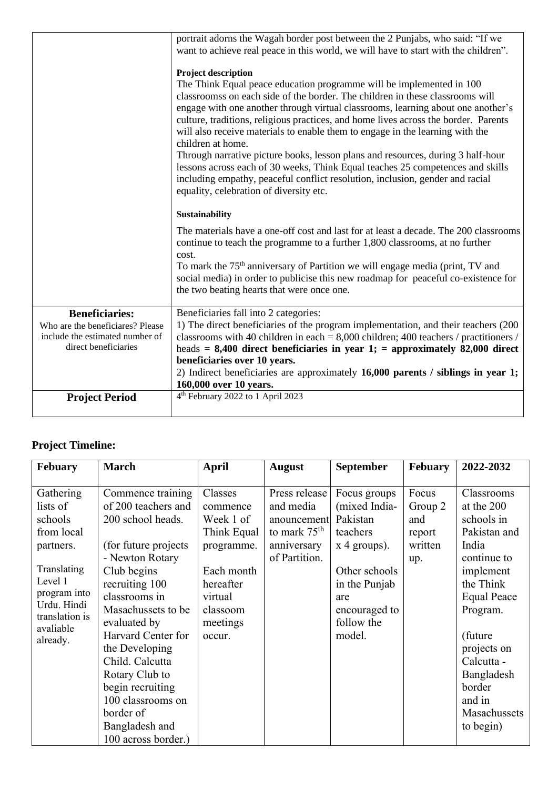|                                                         | portrait adorns the Wagah border post between the 2 Punjabs, who said: "If we<br>want to achieve real peace in this world, we will have to start with the children".                                                                                                                                                                                                                                                                                                                                                                                                                                                                                                                                                                                           |
|---------------------------------------------------------|----------------------------------------------------------------------------------------------------------------------------------------------------------------------------------------------------------------------------------------------------------------------------------------------------------------------------------------------------------------------------------------------------------------------------------------------------------------------------------------------------------------------------------------------------------------------------------------------------------------------------------------------------------------------------------------------------------------------------------------------------------------|
|                                                         | Project description<br>The Think Equal peace education programme will be implemented in 100<br>classroomss on each side of the border. The children in these classrooms will<br>engage with one another through virtual classrooms, learning about one another's<br>culture, traditions, religious practices, and home lives across the border. Parents<br>will also receive materials to enable them to engage in the learning with the<br>children at home.<br>Through narrative picture books, lesson plans and resources, during 3 half-hour<br>lessons across each of 30 weeks, Think Equal teaches 25 competences and skills<br>including empathy, peaceful conflict resolution, inclusion, gender and racial<br>equality, celebration of diversity etc. |
|                                                         | Sustainability                                                                                                                                                                                                                                                                                                                                                                                                                                                                                                                                                                                                                                                                                                                                                 |
|                                                         | The materials have a one-off cost and last for at least a decade. The 200 classrooms<br>continue to teach the programme to a further 1,800 classrooms, at no further<br>cost.                                                                                                                                                                                                                                                                                                                                                                                                                                                                                                                                                                                  |
|                                                         | To mark the 75 <sup>th</sup> anniversary of Partition we will engage media (print, TV and<br>social media) in order to publicise this new roadmap for peaceful co-existence for<br>the two beating hearts that were once one.                                                                                                                                                                                                                                                                                                                                                                                                                                                                                                                                  |
| <b>Beneficiaries:</b>                                   | Beneficiaries fall into 2 categories:                                                                                                                                                                                                                                                                                                                                                                                                                                                                                                                                                                                                                                                                                                                          |
| Who are the beneficiares? Please                        | 1) The direct beneficiaries of the program implementation, and their teachers (200                                                                                                                                                                                                                                                                                                                                                                                                                                                                                                                                                                                                                                                                             |
| include the estimated number of<br>direct beneficiaries | classrooms with 40 children in each = $8,000$ children; 400 teachers / practitioners /<br>heads = $8,400$ direct beneficiaries in year 1; = approximately 82,000 direct                                                                                                                                                                                                                                                                                                                                                                                                                                                                                                                                                                                        |
|                                                         | beneficiaries over 10 years.                                                                                                                                                                                                                                                                                                                                                                                                                                                                                                                                                                                                                                                                                                                                   |
|                                                         | 2) Indirect beneficiaries are approximately 16,000 parents / siblings in year 1;                                                                                                                                                                                                                                                                                                                                                                                                                                                                                                                                                                                                                                                                               |
|                                                         | 160,000 over 10 years.                                                                                                                                                                                                                                                                                                                                                                                                                                                                                                                                                                                                                                                                                                                                         |
| <b>Project Period</b>                                   | 4 <sup>th</sup> February 2022 to 1 April 2023                                                                                                                                                                                                                                                                                                                                                                                                                                                                                                                                                                                                                                                                                                                  |
|                                                         |                                                                                                                                                                                                                                                                                                                                                                                                                                                                                                                                                                                                                                                                                                                                                                |

## **Project Timeline:**

| Febuary                                                                                                                                                         | <b>March</b>                                                                                                                                                                                                                                                                                                                                                                  | <b>April</b>                                                                                                                          | <b>August</b>                                                                               | <b>September</b>                                                                                                                                          | <b>Febuary</b>                                      | 2022-2032                                                                                                                                                                                                                                          |
|-----------------------------------------------------------------------------------------------------------------------------------------------------------------|-------------------------------------------------------------------------------------------------------------------------------------------------------------------------------------------------------------------------------------------------------------------------------------------------------------------------------------------------------------------------------|---------------------------------------------------------------------------------------------------------------------------------------|---------------------------------------------------------------------------------------------|-----------------------------------------------------------------------------------------------------------------------------------------------------------|-----------------------------------------------------|----------------------------------------------------------------------------------------------------------------------------------------------------------------------------------------------------------------------------------------------------|
| Gathering<br>lists of<br>schools<br>from local<br>partners.<br>Translating<br>Level 1<br>program into<br>Urdu. Hindi<br>translation is<br>avaliable<br>already. | Commence training<br>of 200 teachers and<br>200 school heads.<br>(for future projects)<br>- Newton Rotary<br>Club begins<br>recruiting 100<br>classrooms in<br>Masachussets to be<br>evaluated by<br>Harvard Center for<br>the Developing<br>Child. Calcutta<br>Rotary Club to<br>begin recruiting<br>100 classrooms on<br>border of<br>Bangladesh and<br>100 across border.) | Classes<br>commence<br>Week 1 of<br>Think Equal<br>programme.<br>Each month<br>hereafter<br>virtual<br>classoom<br>meetings<br>occur. | Press release<br>and media<br>anouncement<br>to mark $75th$<br>anniversary<br>of Partition. | Focus groups<br>(mixed India-<br>Pakistan<br>teachers<br>$x$ 4 groups).<br>Other schools<br>in the Punjab<br>are<br>encouraged to<br>follow the<br>model. | Focus<br>Group 2<br>and<br>report<br>written<br>up. | Classrooms<br>at the 200<br>schools in<br>Pakistan and<br>India<br>continue to<br>implement<br>the Think<br><b>Equal Peace</b><br>Program.<br>(future)<br>projects on<br>Calcutta -<br>Bangladesh<br>border<br>and in<br>Masachussets<br>to begin) |